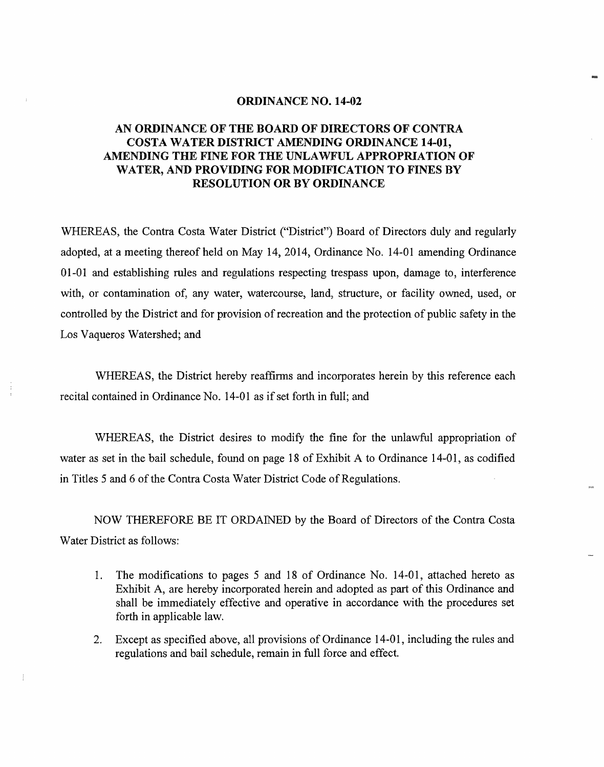#### **ORDINANCE NO. 14-02**

# **AN ORDINANCE OF THE BOARD OF DIRECTORS OF CONTRA COSTA WATER DISTRICT AMENDING ORDINANCE 14-01, AMENDING THE FINE FOR THE UNLAWFUL APPROPRIATION OF WATER, AND PROVIDING FOR MODIFICATION TO FINES BY RESOLUTION OR BY ORDINANCE**

WHEREAS, the Contra Costa Water District ("District") Board of Directors duly and regularly adopted, at a meeting thereof held on May 14, 2014, Ordinance No. 14-01 amending Ordinance 01-01 and establishing rules and regulations respecting trespass upon, damage to, interference with, or contamination of, any water, watercourse, land, structure, or facility owned, used, or controlled by the District and for provision of recreation and the protection of public safety in the Los Vaqueros Watershed; and

WHEREAS, the District hereby reaffirms and incorporates herein by this reference each recital contained in Ordinance No. 14-01 as if set forth in full; and

WHEREAS, the District desires to modify the fine for the unlawful appropriation of water as set in the bail schedule, found on page 18 of Exhibit A to Ordinance 14-01, as codified in Titles 5 and 6 of the Contra Costa Water District Code of Regulations.

NOW THEREFORE BE IT ORDAINED by the Board of Directors of the Contra Costa Water District as follows:

- 1. The modifications to pages *5* and 18 of Ordinance No. 14-01, attached hereto as Exhibit A, are hereby incorporated herein and adopted as part of this Ordinance and shall be immediately effective and operative in accordance with the procedures set forth in applicable law.
- 2. Except as specified above, all provisions of Ordinance 14-01, including the rules and regulations and bail schedule, remain in full force and effect.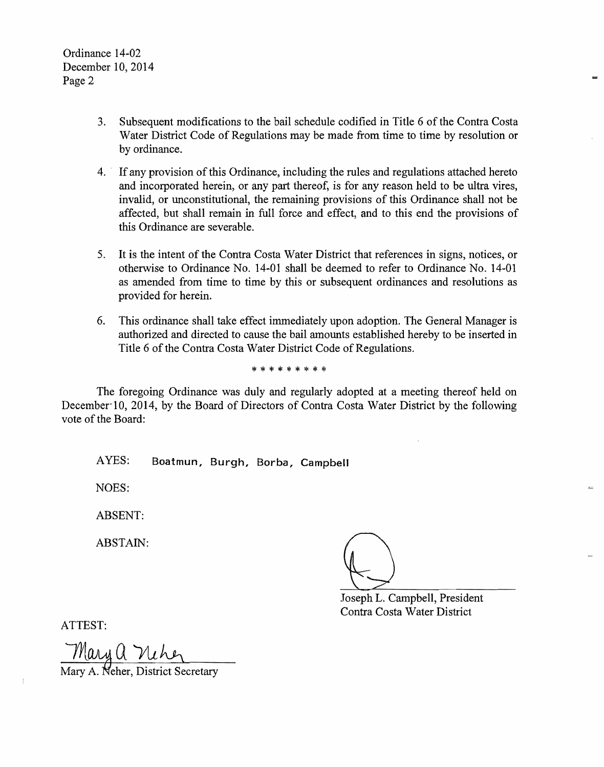- 3. Subsequent modifications to the bail schedule codified in Title 6 of the Contra Costa Water District Code of Regulations may be made from time to time by resolution or by ordinance.
- 4. If any provision of this Ordinance, including the rules and regulations attached hereto and incorporated herein, or any part thereof, is for any reason held to be ultra vires, invalid, or unconstitutional, the remaining provisions of this Ordinance shall not be affected, but shall remain in full force and effect, and to this end the provisions of this Ordinance are severable.
- 5. It is the intent of the Contra Costa Water District that references in signs, notices, or otherwise to Ordinance No. 14-01 shall be deemed to refer to Ordinance No. 14-01 as amended from time to time by this or subsequent ordinances and resolutions as provided for herein.
- 6. This ordinance shall take effect immediately upon adoption. The General Manager is authorized and directed to cause the bail amounts established hereby to be inserted in Title 6 of the Contra Costa Water District Code of Regulations.

\* \* \* \* \* \* \* \*

The foregoing Ordinance was duly and regularly adopted at a meeting thereof held on December 10, 2014, by the Board of Directors of Contra Costa Water District by the following vote of the Board:

AYES: **Boatmun, Burgh, Borba, Campbell** 

NOES:

ABSENT:

ABSTAIN:

Joseph Q L. Campbell, President

Contra Costa Water District

ATTEST:

<u>Mary a Niher</u><br>Mary A. Neher, District Secretary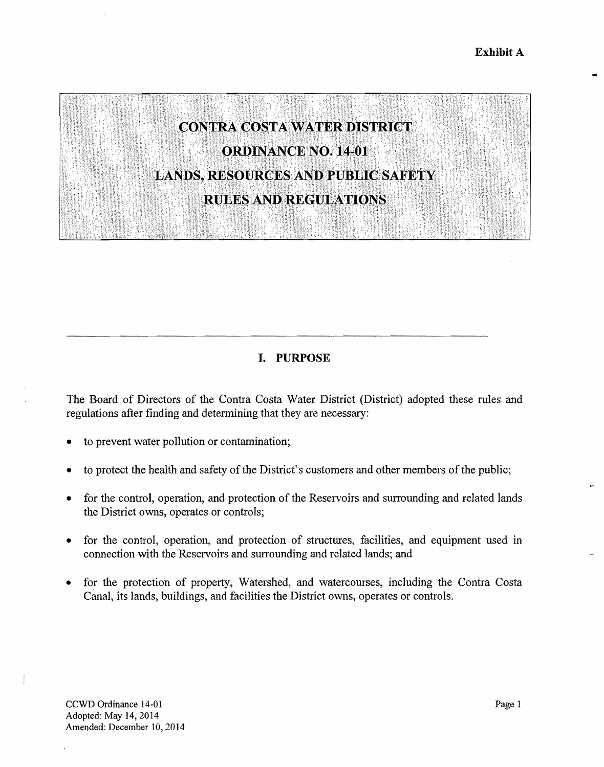

# I. **PURPOSE**

The Board of Directors of the Contra Costa Water District (District) adopted these rules and regulations after finding and determining that they are necessary:

- to prevent water pollution or contamination;
- to protect the health and safety of the District's customers and other members of the public;
- for the control, operation, and protection of the Reservoirs and surrounding and related lands the District owns, operates or controls;
- for the control, operation, and protection of structures, facilities, and equipment used in connection with the Reservoirs and surrounding and related lands; and
- for the protection of property, Watershed, and watercourses, including the Contra Costa Canal, its lands, buildings, and facilities the District owns, operates or controls.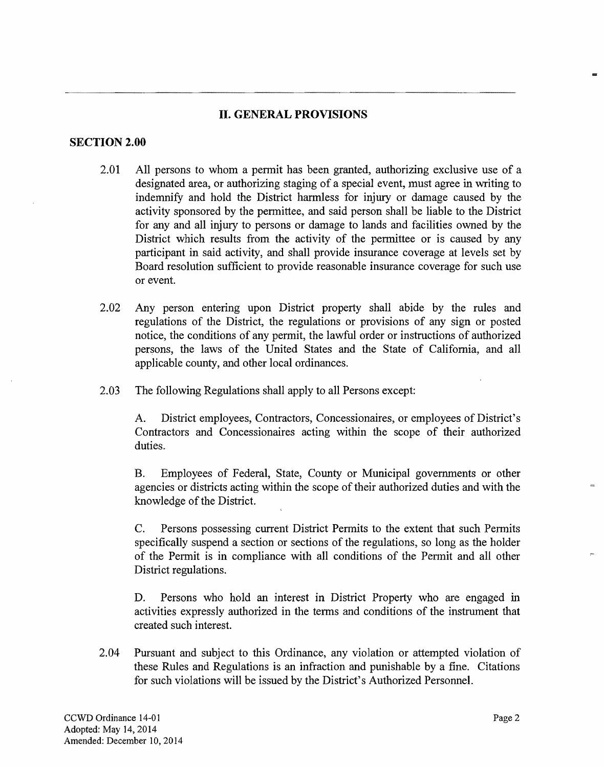# **II. GENERAL PROVISIONS**

## **SECTION 2.00**

- 2.01 All persons to whom a permit has been granted, authorizing exclusive use of a designated area, or authorizing staging of a special event, must agree in writing to indemnify and hold the District hannless for injury or damage caused by the activity sponsored by the pennittee, and said person shall be liable to the District for any and all injury to persons or damage to lands and facilities owned by the District which results from the activity of the permittee or is caused by any participant in said activity, and shall provide insurance coverage at levels set by Board resolution sufficient to provide reasonable insurance coverage for such use or event.
- 2.02 Any person entering upon District property shall abide by the rules and regulations of the District, the regulations or provisions of any sign or posted notice, the conditions of any permit, the lawful order or instructions of authorized persons, the laws of the United States and the State of California, and all applicable county, and other local ordinances.
- 2.03 The following Regulations shall apply to all Persons except:

A. District employees, Contractors, Concessionaires, or employees of District's Contractors and Concessionaires acting within the scope of their authorized duties.

B. Employees of Federal, State, County or Municipal governments or other agencies or districts acting within the scope of their authorized duties and with the knowledge of the District.

C. Persons possessing current District Permits to the extent that such Permits specifically suspend a section or sections of the regulations, so long as the holder of the Permit is in compliance with all conditions of the Permit and all other District regulations.

D. Persons who hold an interest in District Property who are engaged in activities expressly authorized in the terms and conditions of the instrument that created such interest.

2.04 Pursuant and subject to this Ordinance, any violation or attempted violation of these Rules and Regulations is an infraction and punishable by a fine. Citations for such violations will be issued by the District's Authorized Personnel.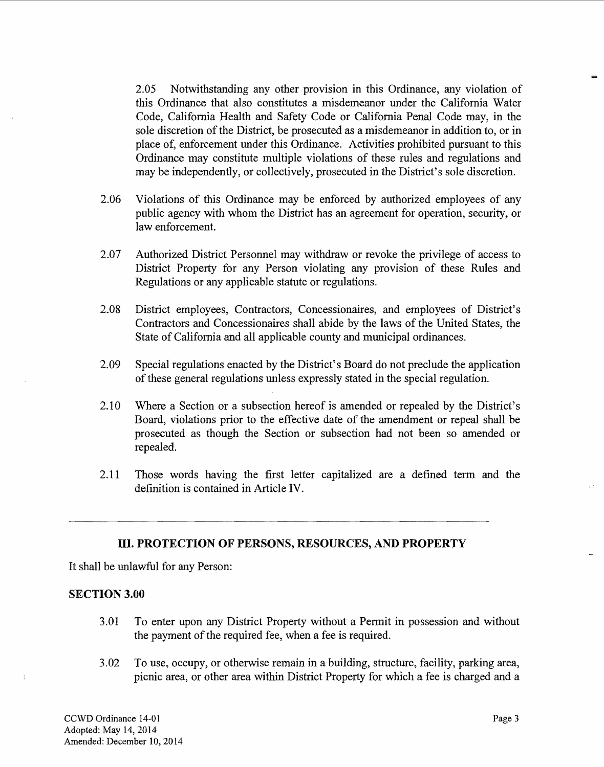2.05 Notwithstanding any other provision in this Ordinance, any violation of this Ordinance that also constitutes a misdemeanor under the California Water Code, California Health and Safety Code or California Penal Code may, in the sole discretion of the District, be prosecuted as a misdemeanor in addition to, or in place of, enforcement under this Ordinance. Activities prohibited pursuant to this Ordinance may constitute multiple violations of these rules and regulations and may be independently, or collectively, prosecuted in the District's sole discretion.

- 2.06 Violations of this Ordinance may be enforced by authorized employees of any public agency with whom the District has an agreement for operation, security, or law enforcement.
- 2.07 Authorized District Personnel may withdraw or revoke the privilege of access to District Property for any Person violating any provision of these Rules and Regulations or any applicable statute or regulations.
- 2.08 District employees, Contractors, Concessionaires, and employees of District's Contractors and Concessionaires shall abide by the laws of the United States, the State of California and all applicable county and municipal ordinances.
- 2.09 Special regulations enacted by the District's Board do not preclude the application of these general regulations unless expressly stated in the special regulation.
- 2.10 Where a Section or a subsection hereof is amended or repealed by the District's Board, violations prior to the effective date of the amendment or repeal shall be prosecuted as though the Section or subsection had not been so amended or repealed.
- 2.11 Those words having the first letter capitalized are a defined term and the definition is contained in Article IV.

## III. **PROTECTION OF PERSONS, RESOURCES, AND PROPERTY**

It shall be unlawful for any Person:

## **SECTION 3.00**

- 3.01 To enter upon any District Property without a Permit in possession and without the payment of the required fee, when a fee is required.
- 3.02 To use, occupy, or otherwise remain in a building, structure, facility, parking area, picnic area, or other area within District Property for which a fee is charged and a

CCWD Ordinance 14-01 Page 3 Adopted: May 14, 2014 Amended: December 10, 2014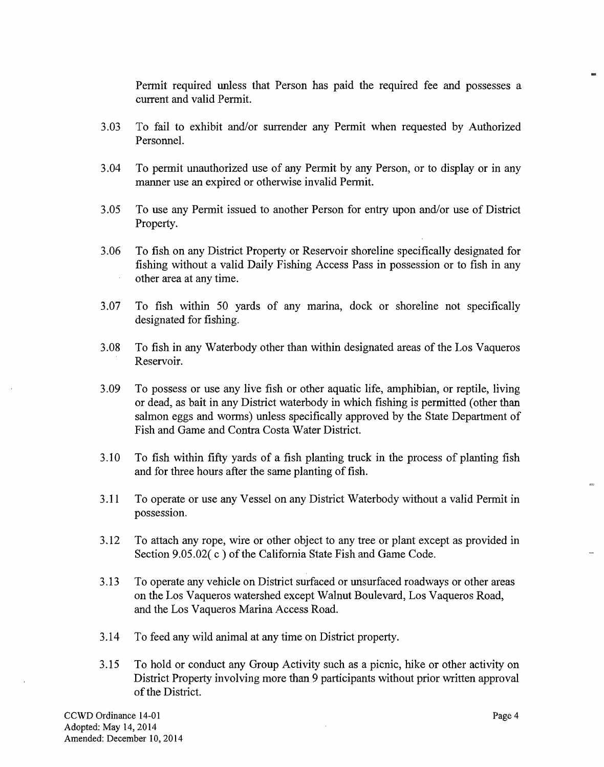Pennit required unless that Person has paid the required fee and possesses a current and valid Pennit.

- 3.03 To fail to exhibit and/or surrender any Permit when requested by Authorized Personnel.
- 3.04 To permit unauthorized use of any Pennit by any Person, or to display or in any manner use an expired or otherwise invalid Permit.
- 3.05 To use any Pennit issued to another Person for entry upon and/or use of District Property.
- 3.06 To fish on any District Property or Reservoir shoreline specifically designated for fishing without a valid Daily Fishing Access Pass in possession or to fish in any other area at any time.
- 3.07 To fish within 50 yards of any marina, dock or shoreline not specifically designated for fishing.
- 3.08 To fish in any Waterbody other than within designated areas of the Los Vaqueros Reservoir.
- 3.09 To possess or use any live fish or other aquatic life, amphibian, or reptile, living or dead, as bait in any District waterbody in which fishing is permitted ( other than salmon eggs and worms) unless specifically approved by the State Department of Fish and Game and Contra Costa Water District.
- 3 .10 To fish within fifty yards of a fish planting truck in the process of planting fish and for three hours after the same planting of fish.
- 3.11 To operate or use any Vessel on any District Waterbody without a valid Permit in possession.
- 3.12 To attach any rope, wire or other object to any tree or plant except as provided in Section 9.05.02(c) of the California State Fish and Game Code.
- 3 .13 To operate any vehicle on District surfaced or unsurfaced roadways or other areas on the Los Vaqueros watershed except Walnut Boulevard, Los Vaqueros Road, and the Los Vaqueros Marina Access Road.
- 3.14 To feed any wild animal at any time on District property.
- 3.15 To hold or conduct any Group Activity such as a picnic, hike or other activity on District Property involving more than 9 participants without prior written approval of the District.

 $\sim$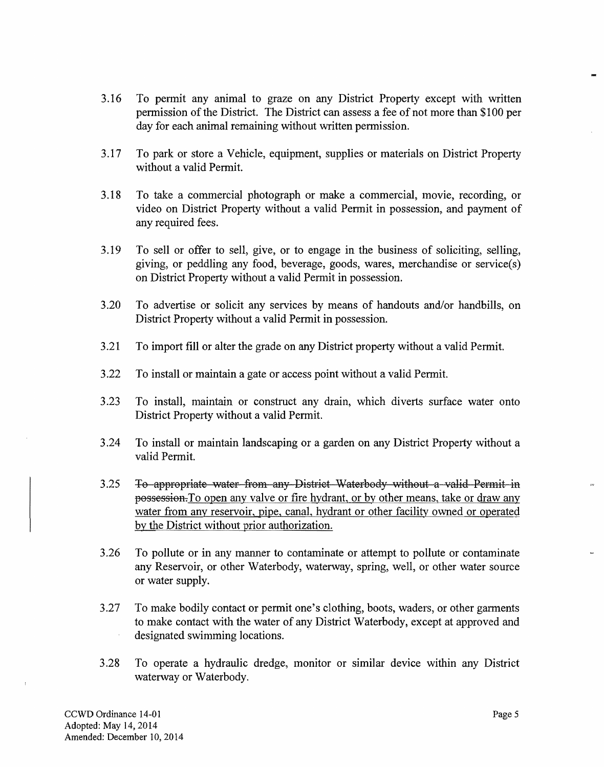- 3.16 To permit any animal to graze on any District Property except with written permission of the District. The District can assess a fee of not more than \$100 per day for each animal remaining without written permission.
- 3.17 To park or store a Vehicle, equipment, supplies or materials on District Property without a valid Permit.
- 3.18 To take a commercial photograph or make a commercial, movie, recording, or video on District Property without a valid Permit in possession, and payment of any required fees.
- 3.19 To sell or offer to sell, give, or to engage in the business of soliciting, selling, giving, or peddling any food, beverage, goods, wares, merchandise or service(s) on District Property without a valid Permit in possession.
- 3.20 To advertise or solicit any services by means of handouts and/or handbills, on District Property without a valid Permit in possession.
- 3.21 To import fill or alter the grade on any District property without a valid Permit.
- 3.22 To install or maintain a gate or access point without a valid Permit.
- 3.23 To install, maintain or construct any drain, which diverts surface water onto District Property without a valid Permit.
- 3.24 To install or maintain landscaping or a garden on any District Property without a valid Permit.
- 3.25 To appropriate water from any District Waterbody without a valid Permit in [possession.To](https://possession.To) open any valve or fire hydrant, or by other means, take or draw any water from any reservoir, pipe, canal, hydrant or other facility owned or operated by the District without prior authorization.
- 3.26 To pollute or in any manner to contaminate or attempt to pollute or contaminate any Reservoir, or other Waterbody, waterway, spring, well, or other water source or water supply.
- 3.27 To make bodily contact or permit one's clothing, boots, waders, or other garments to make contact with the water of any District Waterbody, except at approved and designated swimming locations.
- 3.28 To operate a hydraulic dredge, monitor or similar device within any District waterway or Waterbody.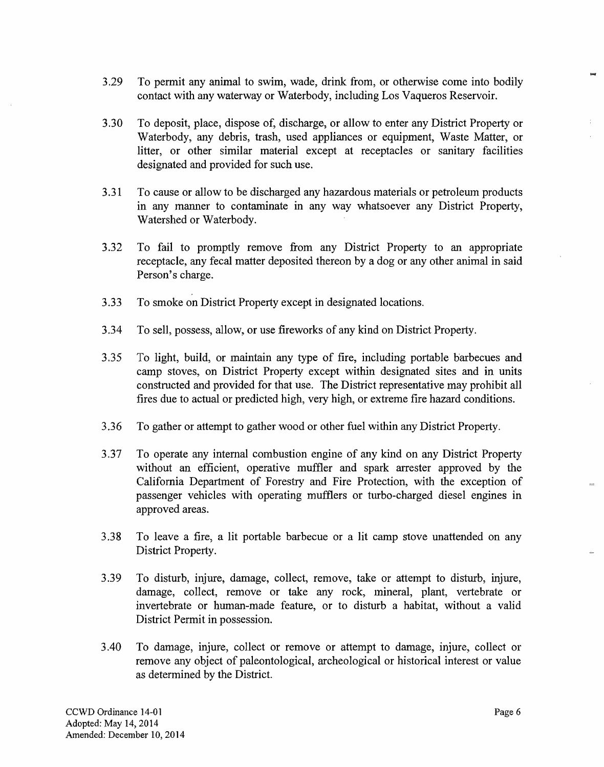- 3.29 To permit any animal to swim, wade, drink from, or otherwise come into bodily contact with any waterway or Waterbody, including Los Vaqueros Reservoir.
- 3.30 To deposit, place, dispose of, discharge, or allow to enter any District Property or Waterbody, any debris, trash, used appliances or equipment, Waste Matter, or litter, or other similar material except at receptacles or sanitary facilities designated and provided for such use.
- 3.31 To cause or allow to be discharged any hazardous materials or petroleum products in any manner to contaminate in any way whatsoever any District Property, Watershed or Waterbody.
- 3.32 To fail to promptly remove from any District Property to an appropriate receptacle, any fecal matter deposited thereon by a dog or any other animal in said Person's charge.
- 3.33 To smoke on District Property except in designated locations.
- 3.34 To sell, possess, allow, or use fireworks of any kind on District Property.
- 3.35 To light, build, or maintain any type of fire, including portable barbecues and camp stoves, on District Property except within designated sites and in units constructed and provided for that use. The District representative may prohibit all fires due to actual or predicted high, very high, or extreme fire hazard conditions.
- 3.36 To gather or attempt to gather wood or other fuel within any District Property.
- 3.37 To operate any internal combustion engine of any kind on any District Property without an efficient, operative muffler and spark arrester approved by the California Department of Forestry and Fire Protection, with the exception of passenger vehicles with operating mufflers or turbo-charged diesel engines in approved areas.
- 3.38 To leave a fire, a lit portable barbecue or a lit camp stove unattended on any District Property.
- 3.39 To disturb, injure, damage, collect, remove, take or attempt to disturb, injure, damage, collect, remove or take any rock, mineral, plant, vertebrate or invertebrate or human-made feature, or to disturb a habitat, without a valid District Permit in possession.
- 3.40 To damage, injure, collect or remove or attempt to damage, injure, collect or remove any object of paleontological, archeological or historical interest or value as determined by the District.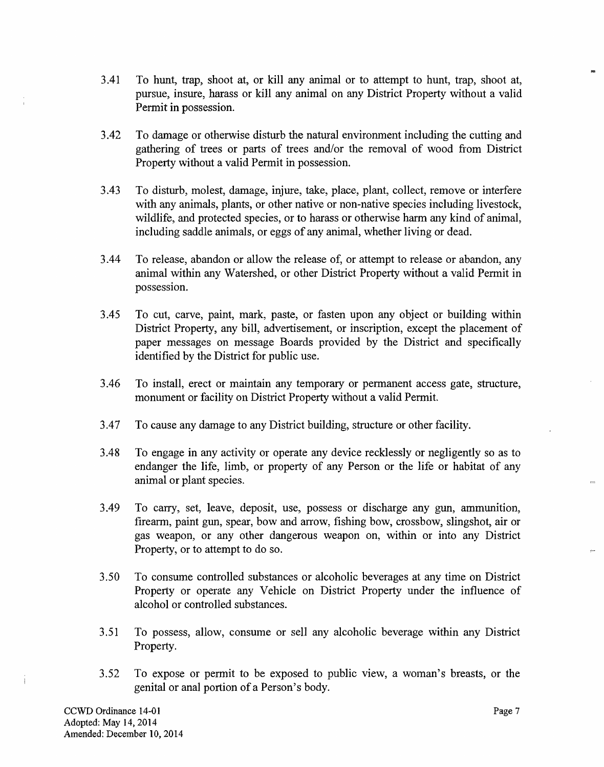- 3.41 To hunt, trap, shoot at, or kill any animal or to attempt to hunt, trap, shoot at, pursue, insure, harass or kill any animal on any District Property without a valid Permit in possession.
- 3.42 To damage or otherwise disturb the natural environment including the cutting and gathering of trees or parts of trees and/or the removal of wood from District Property without a valid Permit in possession.
- 3.43 To disturb, molest, damage, injure, take, place, plant, collect, remove or interfere with any animals, plants, or other native or non-native species including livestock, wildlife, and protected species, or to harass or otherwise harm any kind of animal, including saddle animals, or eggs of any animal, whether living or dead.
- 3.44 To release, abandon or allow the release of, or attempt to release or abandon, any animal within any Watershed, or other District Property without a valid Permit in possession.
- 3.45 To cut, carve, paint, mark, paste, or fasten upon any object or building within District Property, any bill, advertisement, or inscription, except the placement of paper messages on message Boards provided by the District and specifically identified by the District for public use.
- 3 .46 To install, erect or maintain any temporary or permanent access gate, structure, monument or facility on District Property without a valid Permit.
- 3.47 To cause any damage to any District building, structure or other facility.
- 3.48 To engage in any activity or operate any device recklessly or negligently so as to endanger the life, limb, or property of any Person or the life or habitat of any animal or plant species.
- 3.49 To carry, set, leave, deposit, use, possess or discharge any gun, ammunition, firearm, paint gun, spear, bow and arrow, fishing bow, crossbow, slingshot, air or gas weapon, or any other dangerous weapon on, within or into any District Property, or to attempt to do so.
- 3.50 To consume controlled substances or alcoholic beverages at any time on District Property or operate any Vehicle on District Property under the influence of alcohol or controlled substances.
- 3.51 To possess, allow, consume or sell any alcoholic beverage within any District Property.
- 3.52 To expose or permit to be exposed to public view, a woman's breasts, or the genital or anal portion of a Person's body.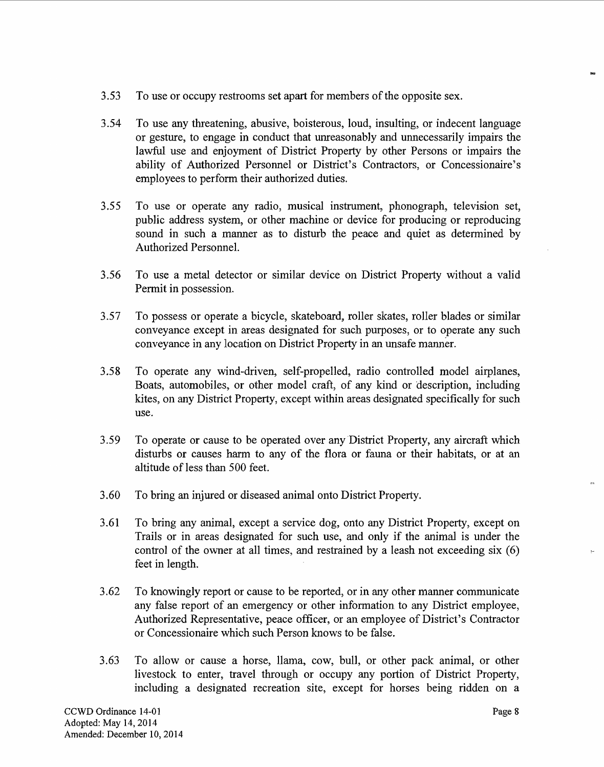- 3.53 To use or occupy restrooms set apart for members of the opposite sex.
- 3.54 To use any threatening, abusive, boisterous, loud, insulting, or indecent language or gesture, to engage in conduct that unreasonably and unnecessarily impairs the lawful use and enjoyment of District Property by other Persons or impairs the ability of Authorized Personnel or District's Contractors, or Concessionaire's employees to perform their authorized duties.
- 3.55 To use or operate any radio, musical instrument, phonograph, television set, public address system, or other machine or device for producing or reproducing sound in such a manner as to disturb the peace and quiet as determined by Authorized Personnel.
- 3.56 To use a metal detector or similar device on District Property without a valid Permit in possession.
- 3.57 To possess or operate a bicycle, skateboard, roller skates, roller blades or similar conveyance except in areas designated for such purposes, or to operate any such conveyance in any location on District Property in an unsafe manner.
- 3.58 To operate any wind-driven, self-propelled, radio controlled model airplanes, Boats, automobiles, or other model craft, of any kind or description, including kites, on any District Property, except within areas designated specifically for such use.
- 3.59 To operate or cause to be operated over any District Property, any aircraft which disturbs or causes harm to any of the flora or fauna or their habitats, or at an altitude of less than 500 feet.
- 3.60 To bring an injured or diseased animal onto District Property.
- 3.61 To bring any animal, except a service dog, onto any District Property, except on Trails or in areas designated for such use, and only if the animal is under the control of the owner at all times, and restrained by a leash not exceeding six (6) feet in length.
- 3.62 To knowingly report or cause to be reported, or in any other manner communicate any false report of an emergency or other information to any District employee, Authorized Representative, peace officer, or an employee of District's Contractor or Concessionaire which such Person knows to be false.
- 3.63 To allow or cause a horse, llama, cow, bull, or other pack animal, or other livestock to enter, travel through or occupy any portion of District Property, including a designated recreation site, except for horses being ridden on a

 $\sim$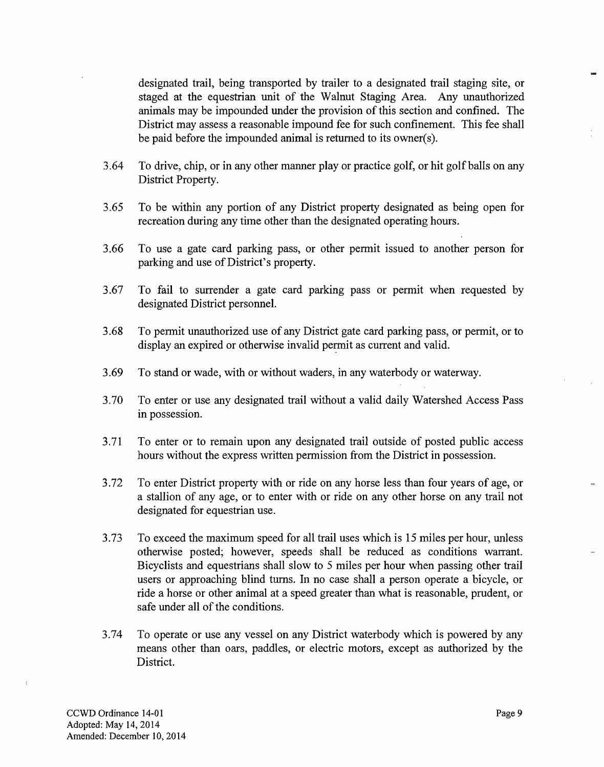designated trail, being transported by trailer to a designated trail staging site, or staged at the equestrian unit of the Walnut Staging Area. Any unauthorized animals may be impounded under the provision of this section and confined. The District may assess a reasonable impound fee for such confinement. This fee shall be paid before the impounded animal is returned to its owner(s).

- 3.64 To drive, chip, or in any other manner play or practice golf, or hit golf balls on any District Property.
- 3.65 To be within any portion of any District property designated as being open for recreation during any time other than the designated operating hours.
- 3.66 To use a gate card parking pass, or other permit issued to another person for parking and use of District's property.
- 3.67 To fail to surrender a gate card parking pass or permit when requested by designated District personnel.
- 3.68 To pennit unauthorized use of any District gate card parking pass, or permit, or to display an expired or otherwise invalid permit as current and valid.
- 3.69 To stand or wade, with or without waders, in any waterbody or waterway.
- 3.70 To enter or use any designated trail without a valid daily Watershed Access Pass in possession.
- 3.71 To enter or to remain upon any designated trail outside of posted public access hours without the express written permission from the District in possession.
- 3.72 To enter District property with or ride on any horse less than four years of age, or a stallion of any age, or to enter with or ride on any other horse on any trail not designated for equestrian use.
- 3.73 To exceed the maximwn speed for all trail uses which is 15 miles per hour, unless otherwise posted; however, speeds shall be reduced as conditions warrant. Bicyclists and equestrians shall slow to 5 miles per hour when passing other trail users or approaching blind turns. In no case shall a person operate a bicycle, or ride a horse or other animal at a speed greater than what is reasonable, prudent, or safe under all of the conditions.
- 3.74 To operate or use any vessel on any District waterbody which is powered by any means other than oars, paddles, or electric motors, except as authorized by the District.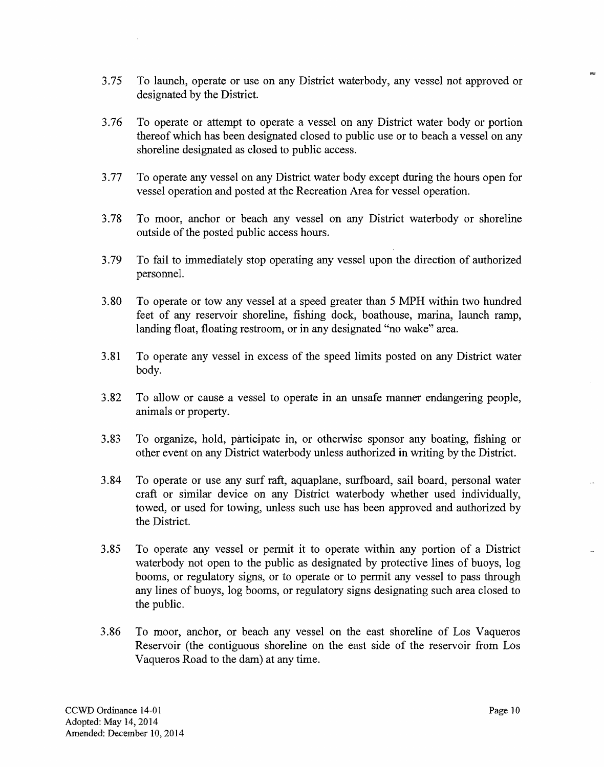- 3.7*5* To launch, operate or use on any District waterbody, any vessel not approved or designated by the District.
- 3.76 To operate or attempt to operate a vessel on any District water body or portion thereof which has been designated closed to public use or to beach a vessel on any shoreline designated as closed to public access.
- 3.77 To operate any vessel on any District water body except during the hours open for vessel operation and posted at the Recreation Area for vessel operation.
- 3.78 To moor, anchor or beach any vessel on any District waterbody or shoreline outside of the posted public access hours.
- 3.79 To fail to immediately stop operating any vessel upon the direction of authorized personnel.
- 3.80 To operate or tow any vessel at a speed greater than *5* MPH within two hundred feet of any reservoir shoreline, fishing dock, boathouse, marina, launch ramp, landing float, floating restroom, or in any designated "no wake" area.
- 3.81 To operate any vessel in excess of the speed limits posted on any District water body.
- 3.82 To allow or cause a vessel to operate in an unsafe manner endangering people, animals or property.
- 3.83 To organize, hold, participate in, or otherwise sponsor any boating, fishing or other event on any District waterbody unless authorized in writing by the District.
- 3.84 To operate or use any surf raft, aquaplane, surfboard, sail board, personal water craft or similar device on any District waterbody whether used individually, towed, or used for towing, unless such use has been approved and authorized by the District.
- 3.85 To operate any vessel or pennit it to operate within any portion of a District waterbody not open to the public as designated by protective lines of buoys, log booms, or regulatory signs, or to operate or to permit any vessel to pass through any lines of buoys, log booms, or regulatory signs designating such area closed to the public.
- 3.86 To moor, anchor, or beach any vessel on the east shoreline of Los Vaqueros Reservoir (the contiguous shoreline on the east side of the reservoir from Los Vaqueros Road to the dam) at any time.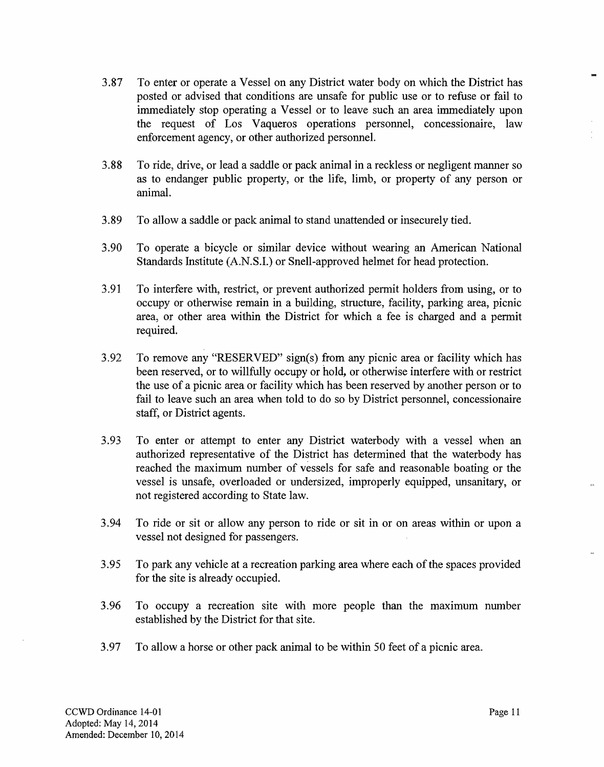- 3.87 To enter or operate a Vessel on any District water body on which the District has posted or advised that conditions are unsafe for public use or to refuse or fail to immediately stop operating a Vessel or to leave such an area immediately upon the request of Los Vaqueros operations personnel, concessionaire, law enforcement agency, or other authorized personnel.
- 3.88 To ride, drive, or lead a saddle or pack animal in a reckless or negligent manner so as to endanger public property, or the life, limb, or property of any person or animal.
- 3.89 To allow a saddle or pack animal to stand unattended or insecurely tied.
- 3.90 To operate a bicycle or similar device without wearing an American National Standards Institute (A.N.S.I.) or Snell-approved helmet for head protection.
- 3.91 To interfere with, restrict, or prevent authorized permit holders from using, or to occupy or otherwise remain in a building, structure, facility, parking area, picnic area, or other area within the District for which a fee is charged and a permit required.
- 3.92 To remove any "RESERVED" sign(s) from any picnic area or facility which has been reserved, or to willfully occupy or hold, or otherwise interfere with or restrict the use of a picnic area or facility which has been reserved by another person or to fail to leave such an area when told to do so by District personnel, concessionaire staff, or District agents.
- 3.93 To enter or attempt to enter any District waterbody with a vessel when an authorized representative of the District has determined that the waterbody has reached the maximum number of vessels for safe and reasonable boating or the vessel is unsafe, overloaded or undersized, improperly equipped, unsanitary, or not registered according to State law.
- 3.94 To ride or sit or allow any person to ride or sit in or on areas within or upon a vessel not designed for passengers.
- 3.95 To park any vehicle at a recreation parking area where each of the spaces provided for the site is already occupied.
- 3.96 To occupy a recreation site with more people than the maximum number established by the District for that site.
- 3.97 To allow a horse or other pack animal to be within 50 feet of a picnic area.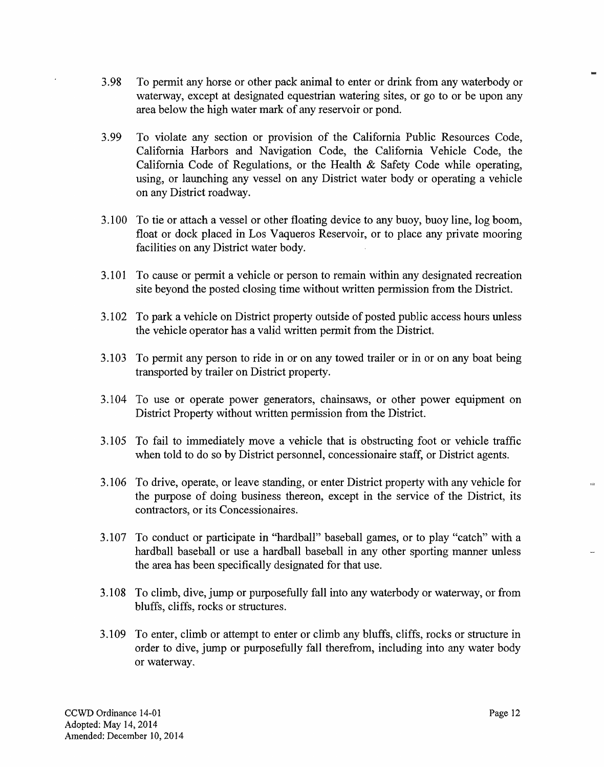- 3.98 To permit any horse or other pack animal to enter or drink from any waterbody or waterway, except at designated equestrian watering sites, or go to or be upon any area below the high water mark of any reservoir or pond.
- 3.99 To violate any section or provision of the California Public Resources Code, California Harbors and Navigation Code, the California Vehicle Code, the California Code of Regulations, or the Health & Safety Code while operating, using, or launching any vessel on any District water body or operating a vehicle on any District roadway.
- 3.100 To tie or attach a vessel or other floating device to any buoy, buoy line, log boom, float or dock placed in Los Vaqueros Reservoir, or to place any private mooring facilities on any District water body.
- 3.101 To cause or permit a vehicle or person to remain within any designated recreation site beyond the posted closing time without written permission from the District.
- 3.102 To park a vehicle on District property outside of posted public access hours unless the vehicle operator has a valid written permit from the District.
- 3.103 To permit any person to ride in or on any towed trailer or in or on any boat being transported by trailer on District property.
- 3.104 To use or operate power generators, chainsaws, or other power equipment on District Property without written permission from the District.
- 3.105 To fail to immediately move a vehicle that is obstructing foot or vehicle traffic when told to do so by District personnel, concessionaire staff, or District agents.
- 3.106 To drive, operate, or leave standing, or enter District property with any vehicle for the purpose of doing business thereon, except in the service of the District, its contractors, or its Concessionaires.
- 3.107 To conduct or participate in ''hardball" baseball games, or to play "catch" with a hardball baseball or use a hardball baseball in any other sporting manner unless the area has been specifically designated for that use.
- 3.108 To climb, dive, jump or purposefully fall into any waterbody or waterway, or from bluffs, cliffs, rocks or structures.
- 3.109 To enter, climb or attempt to enter or climb any bluffs, cliffs, rocks or structure in order to dive, jump or purposefully fall therefrom, including into any water body or waterway.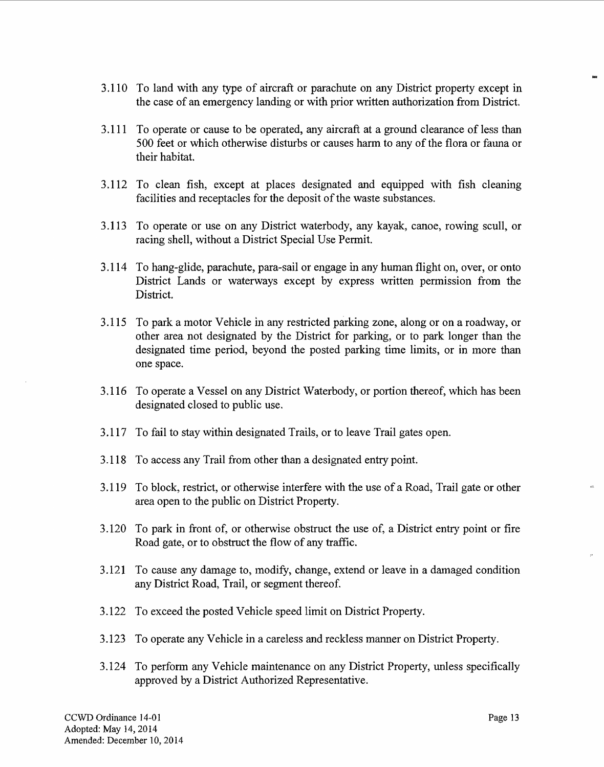- 3.110 To land with any type of aircraft or parachute on any District property except in the case of an emergency landing or with prior written authorization from District.
- 3.111 To operate or cause to be operated, any aircraft at a ground clearance of less than 500 feet or which otherwise disturbs or causes harm to any of the flora or fauna or their habitat.
- 3.112 To clean fish, except at places designated and equipped with fish cleaning facilities and receptacles for the deposit of the waste substances.
- 3.113 To operate or use on any District waterbody, any kayak, canoe, rowing scull, or racing shell, without a District Special Use Permit.
- 3.114 To hang-glide, parachute, para-sail or engage in any human flight on, over, or onto District Lands or waterways except by express written permission from the District.
- 3.115 To park a motor Vehicle in any restricted parking zone, along or on a roadway, or other area not designated by the District for parking, or to park longer than the designated time period, beyond the posted parking time limits, or in more than one space.
- 3.116 To operate a Vessel on any District Waterbody, or portion thereof, which has been designated closed to public use.
- 3.117 To fail to stay within designated Trails, or to leave Trail gates open.
- 3.118 To access any Trail from other than a designated entry point.
- 3.119 To block, restrict, or otherwise interfere with the use of a Road, Trail gate or other area open to the public on District Property.
- 3.120 To park in front of, or otherwise obstruct the use of, a District entry point or fire Road gate, or to obstruct the flow of any traffic.
- 3.121 To cause any damage to, modify, change, extend or leave in a damaged condition any District Road, Trail, or segment thereof.
- 3.122 To exceed the posted Vehicle speed limit on District Property.
- 3.123 To operate any Vehicle in a careless and reckless manner on District Property.
- 3.124 To perfonn any Vehicle maintenance on any District Property, unless specifically approved by a District Authorized Representative.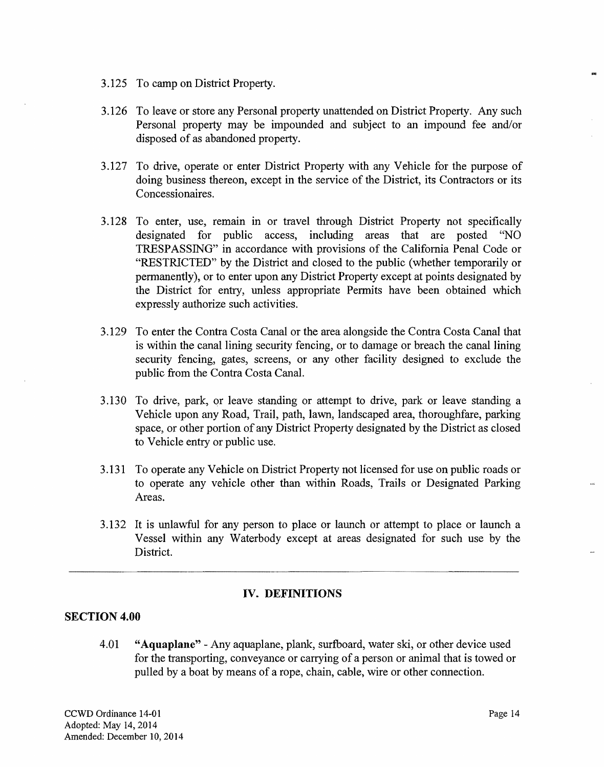- 3.125 To camp on District Property.
- 3.126 To leave or store any Personal property unattended on District Property. Any such Personal property may be impounded and subject to an impound fee and/or disposed of as abandoned property.
- 3.127 To drive, operate or enter District Property with any Vehicle for the purpose of doing business thereon, except in the service of the District, its Contractors or its Concessionaires.
- 3.128 To enter, use, remain in or travel through District Property not specifically designated for public access, including areas that are posted "NO TRESPASSING" in accordance with provisions of the California Penal Code or "RESTRICTED" by the District and closed to the public (whether temporarily or permanently), or to enter upon any District Property except at points designated by the District for entry, unless appropriate Permits have been obtained which expressly authorize such activities.
- 3.129 To enter the Contra Costa Canal or the area alongside the Contra Costa Canal that is within the canal lining security fencing, or to damage or breach the canal lining security fencing, gates, screens, or any other facility designed to exclude the public from the Contra Costa Canal.
- 3.130 To drive, park, or leave standing or attempt to drive, park or leave standing a Vehicle upon any Road, Trail, path, lawn, landscaped area, thoroughfare, parking space, or other portion of any District Property designated by the District as closed to Vehicle entry or public use.
- 3.131 To operate any Vehicle on District Property not licensed for use on public roads or to operate any vehicle other than within Roads, Trails or Designated Parking Areas.
- 3.132 It is unlawful for any person to place or launch or attempt to place or launch a Vessel within any Waterbody except at areas designated for such use by the District.

## **IV. DEFINITIONS**

## **SECTION 4.00**

4.01 **"Aquaplane"** -Any aquaplane, plank, surfboard, water ski, or other device used for the transporting, conveyance or carrying of a person or animal that is towed or pulled by a boat by means of a rope, chain, cable, wire or other connection.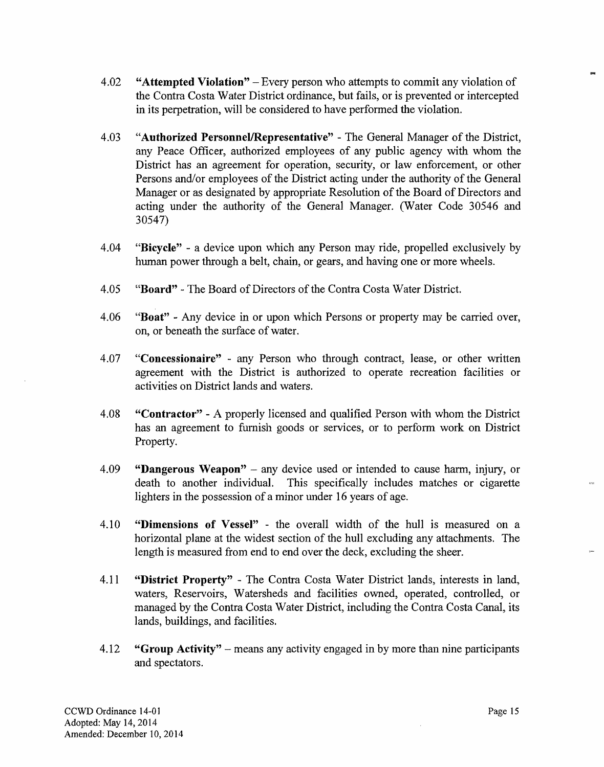- 4.02 **"Attempted Violation"**  Every person who attempts to commit any violation of the Contra Costa Water District ordinance, but fails, or is prevented or intercepted in its perpetration, will be considered to have performed the violation.
- 4.03 **"Authorized Personnel/Representative"**  The General Manager of the District, any Peace Officer, authorized employees of any public agency with whom the District has an agreement for operation, security, or law enforcement, or other Persons and/or employees of the District acting under the authority of the General Manager or as designated by appropriate Resolution of the Board of Directors and acting under the authority of the General Manager. (Water Code 30546 and 30547)
- 4.04 **"Bicycle"**  a device upon which any Person may ride, propelled exclusively by human power through a belt, chain, or gears, and having one or more wheels.
- 4.05 **"Board"**  The Board of Directors ofthe Contra Costa Water District.
- 4.06 **"Boat"**  Any device in or upon which Persons or property may be carried over, on, or beneath the surface of water.
- 4.07 **"Concessionaire"**  any Person who through contract, lease, or other written agreement with the District is authorized to operate recreation facilities or activities on District lands and waters.
- 4.08 **"Contractor"** A properly licensed and qualified Person with whom the District has an agreement to furnish goods or services, or to perform work on District Property.
- 4.09 **"Dangerous Weapon"** any device used or intended to cause harm, injury, or death to another individual. This specifically includes matches or cigarette lighters in the possession of a minor under 16 years of age.
- 4.10 **"Dimensions of Vessel"**  the overall width of the hull is measured on a horizontal plane at the widest section of the hull excluding any attachments. The length is measured from end to end over the deck, excluding the sheer.
- 4.11 **"District Property"**  The Contra Costa Water District lands, interests in land, waters, Reservoirs, Watersheds and facilities owned, operated, controlled, or managed by the Contra Costa Water District, including the Contra Costa Canal, its lands, buildings, and facilities.
- 4.12 **"Group Activity"** means any activity engaged in by more than nine participants and spectators.

 $\overline{a}$ 

tar.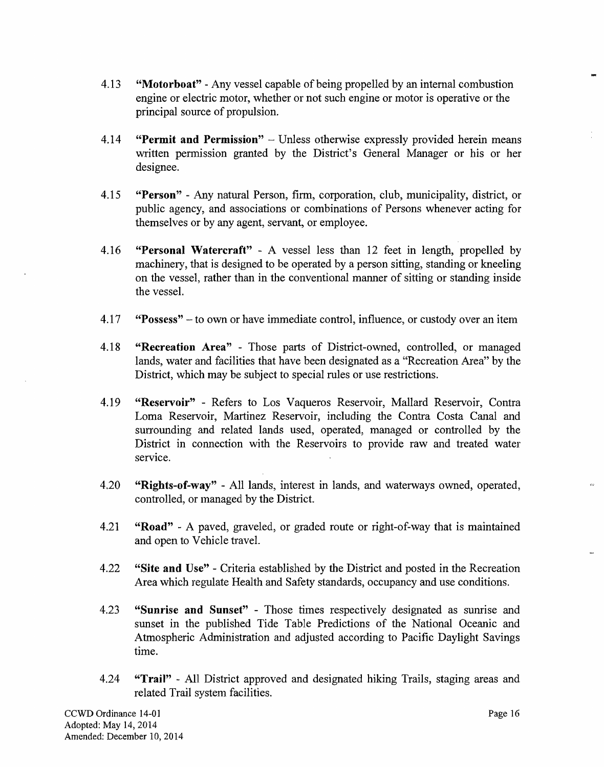- 4.13 **"Motorboat"**  Any vessel capable of being propelled by an internal combustion engine or electric motor, whether or not such engine or motor is operative or the principal source of propulsion.
- 4.14 **"Permit and Permission"**  Unless otherwise expressly provided herein means written permission granted by the District's General Manager or his or her designee.
- 4.15 **"Person"**  Any natural Person, firm, corporation, club, municipality, district, or public agency, and associations or combinations of Persons whenever acting for themselves or by any agent, servant, or employee.
- 4.16 **"Personal Watercraft''**  A vessel less than 12 feet in length, propelled by machinery, that is designed to be operated by a person sitting, standing or kneeling on the vessel, rather than in the conventional manner of sitting or standing inside the vessel.
- 4.17 **"Possess''** -to own or have immediate control, influence, or custody over an item
- 4.18 **"Recreation Area"**  Those parts of District-owned, controlled, or managed lands, water and facilities that have been designated as a "Recreation Area" by the District, which may be subject to special rules or use restrictions.
- 4.19 **"Reservoir"**  Refers to Los Vaqueros Reservoir, Mallard Reservoir, Contra Loma Reservoir, Martinez Reservoir, including the Contra Costa Canal and surrounding and related lands used, operated, managed or controlled by the District in connection with the Reservoirs to provide raw and treated water service.
- 4.20 **''Rights-of-way"**  All lands, interest in lands, and waterways owned, operated, controlled, or managed by the District.
- 4.21 **"Road''**  A paved, graveled, or graded route or right-of-way that is maintained and open to Vehicle travel.
- 4.22 **"Site and Use"**  Criteria established by the District and posted in the Recreation Area which regulate Health and Safety standards, occupancy and use conditions.
- 4.23 **"Sunrise and Sunset"**  Those times respectively designated as sunrise and sunset in the published Tide Table Predictions of the National Oceanic and Atmospheric Administration and adjusted according to Pacific Daylight Savings time.
- 4.24 **"Trail"**  All District approved and designated hiking Trails, staging areas and related Trail system facilities.

 $\overline{a}$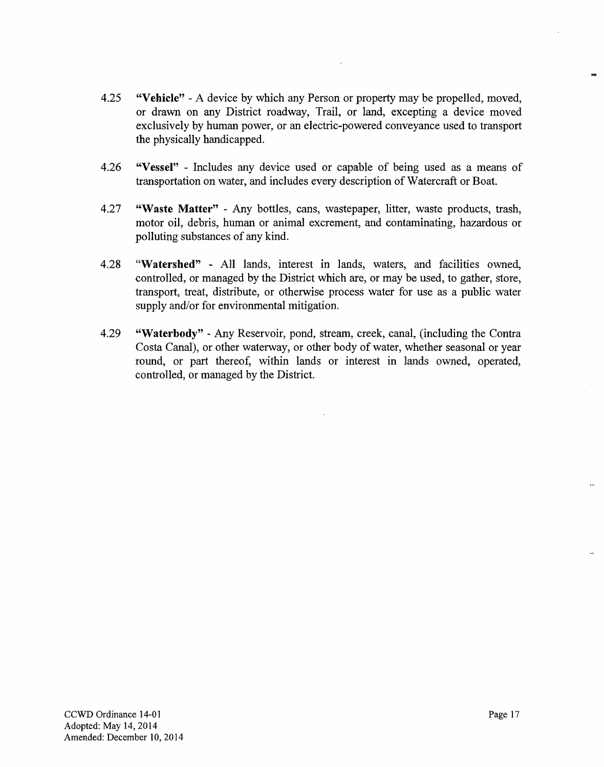- 4.25 **"Vehicle"**  A device by which any Person or property may be propelled, moved, or drawn on any District roadway, Trail, or land, excepting a device moved exclusively by human power, or an electric-powered conveyance used to transport the physically handicapped.
- 4.26 **"Vessel"**  Includes any device used or capable of being used as a means of transportation on water, and includes every description of Watercraft or Boat.
- 4.27 **"Waste Matter"**  Any bottles, cans, wastepaper, litter, waste products, trash, motor oil, debris, human or animal excrement, and contaminating, hazardous or polluting substances of any kind.
- 4.28 **"Watershed"**  All lands, interest in lands, waters, and facilities owned, controlled, or managed by the District which are, or may be used, to gather, store, transport, treat, distribute, or otherwise process water for use as a public water supply and/or for environmental mitigation.
- 4.29 **"Waterbody"**  Any Reservoir, pond, stream, creek, canal, (including the Contra Costa Canal), or other waterway, or other body of water, whether seasonal or year round, or part thereof, within lands or interest in lands owned, operated, controlled, or managed by the District.